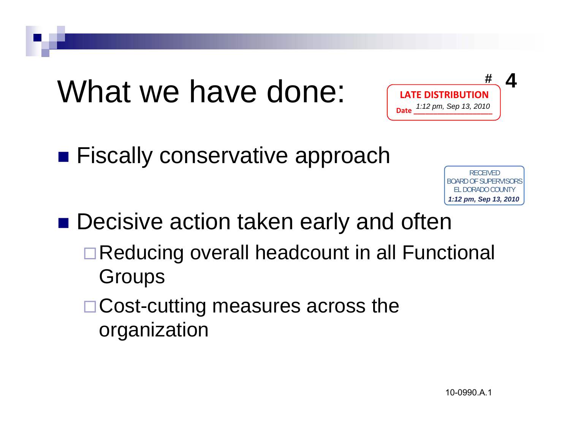## What we have done:



**Exally conservative approach** 

RECEIVED<br>BOARD OF SUPERVISORS<br>EL DORADO COUNTY<br>1:12 pm, Sep 13, 2010<br>|<br>|OOO990.A.1 **1:12 pm, Sep 13, 2010**

**Decisive action taken early and often** 

- □ Reducing overall headcount in all Functional **Groups**
- □ Cost-cutting measures across the organization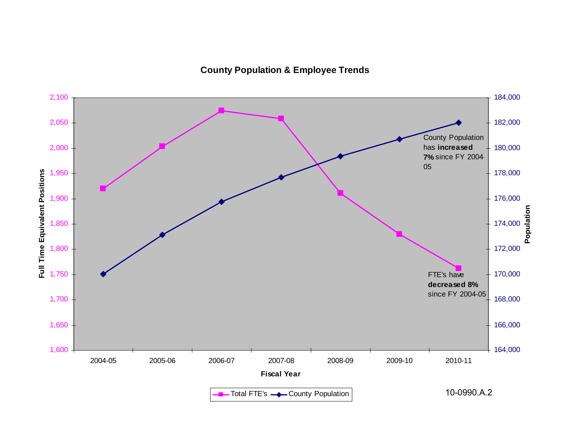#### **County Population & Employee Trends**

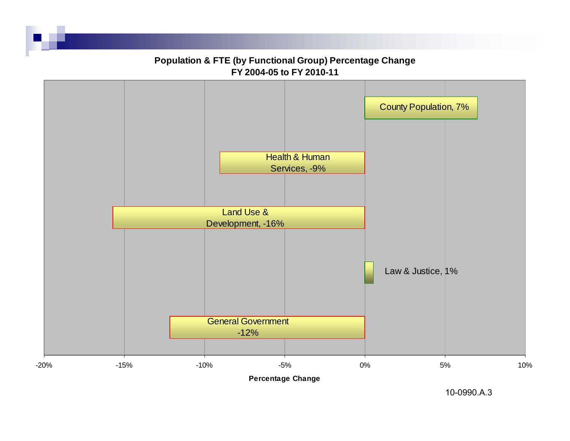

10-0990.A.3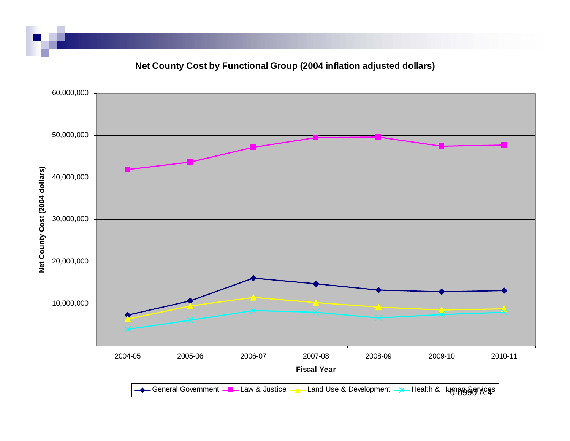### **Net County Cost by Functional Group (2004 inflation adjusted dollars)**

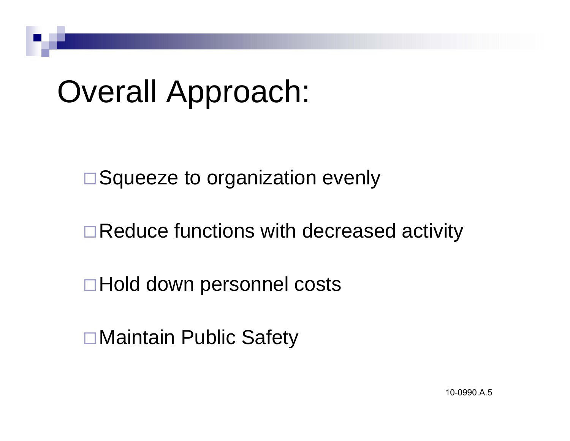## Overall Approach:

□ Squeeze to organization evenly

□ Reduce functions with decreased activity

Hold down personnel costs

Maintain Public Safety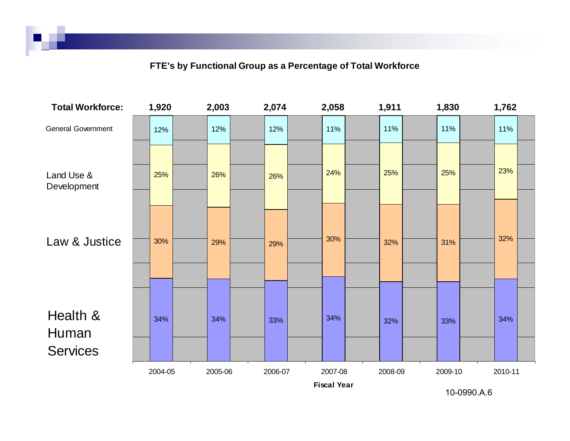#### **FTE's by Functional Group as a Percentage of Total Workforce**



10-0990.A.6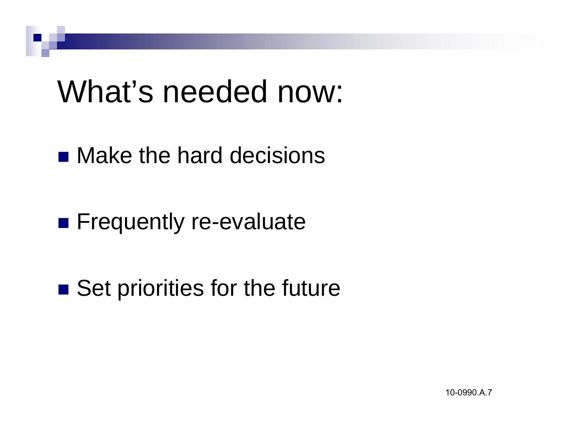### What's needed now:

■ Make the hard decisions

**Example 12 Frequently re-evaluate** 

■ Set priorities for the future